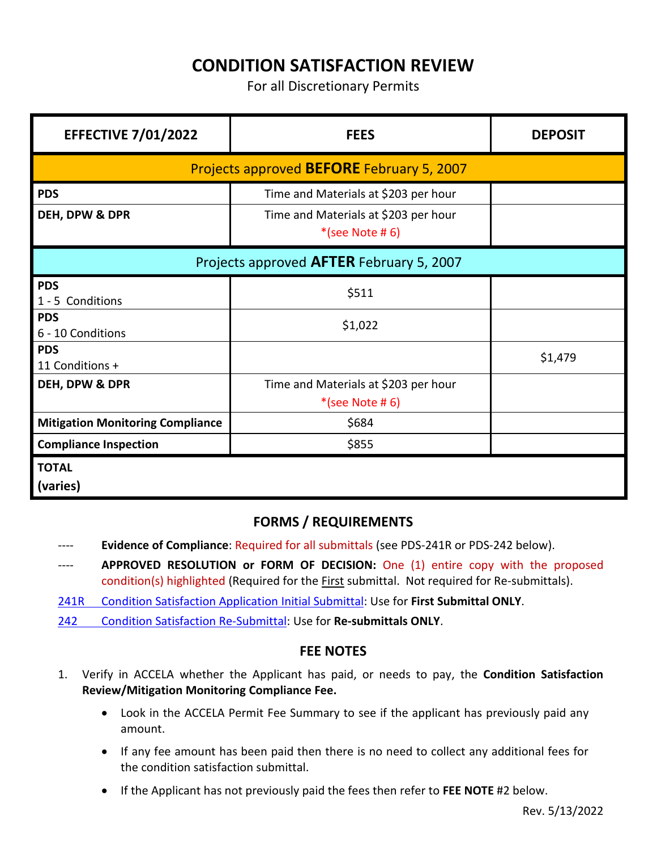# **CONDITION SATISFACTION REVIEW**

For all Discretionary Permits

| <b>EFFECTIVE 7/01/2022</b>                       | <b>FEES</b>                                               | <b>DEPOSIT</b> |
|--------------------------------------------------|-----------------------------------------------------------|----------------|
| Projects approved <b>BEFORE</b> February 5, 2007 |                                                           |                |
| <b>PDS</b>                                       | Time and Materials at \$203 per hour                      |                |
| DEH, DPW & DPR                                   | Time and Materials at \$203 per hour<br>$*(see Note # 6)$ |                |
| Projects approved AFTER February 5, 2007         |                                                           |                |
| <b>PDS</b><br>1 - 5 Conditions                   | \$511                                                     |                |
| <b>PDS</b><br>6 - 10 Conditions                  | \$1,022                                                   |                |
| <b>PDS</b><br>11 Conditions +                    |                                                           | \$1,479        |
| DEH, DPW & DPR                                   | Time and Materials at \$203 per hour<br>$*(see Note # 6)$ |                |
| <b>Mitigation Monitoring Compliance</b>          | \$684                                                     |                |
| <b>Compliance Inspection</b>                     | \$855                                                     |                |
| <b>TOTAL</b><br>(varies)                         |                                                           |                |

## **FORMS / REQUIREMENTS**

- ---- **Evidence of Compliance**: Required for all submittals (see PDS-241R or PDS-242 below).
- ---- **APPROVED RESOLUTION or FORM OF DECISION:** One (1) entire copy with the proposed condition(s) highlighted (Required for the First submittal. Not required for Re-submittals).
- [241R Condition Satisfaction Application Initial Submittal:](http://www.sdcounty.ca.gov/pds/zoning/formfields/PDS-PLN-241R.pdf) Use for **First Submittal ONLY**.
- 242 [Condition Satisfaction Re-Submittal:](http://www.sdcounty.ca.gov/pds/zoning/formfields/PDS-PLN-242.pdf) Use for **Re-submittals ONLY**.

### **FEE NOTES**

- 1. Verify in ACCELA whether the Applicant has paid, or needs to pay, the **Condition Satisfaction Review/Mitigation Monitoring Compliance Fee.**
	- Look in the ACCELA Permit Fee Summary to see if the applicant has previously paid any amount.
	- If any fee amount has been paid then there is no need to collect any additional fees for the condition satisfaction submittal.
	- If the Applicant has not previously paid the fees then refer to **FEE NOTE** #2 below.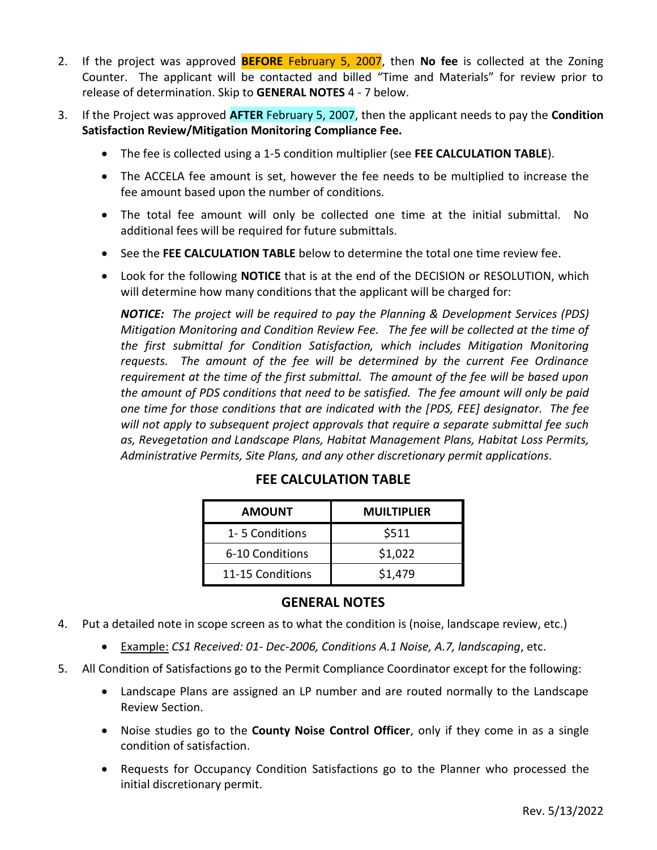- 2. If the project was approved **BEFORE** February 5, 2007, then **No fee** is collected at the Zoning Counter. The applicant will be contacted and billed "Time and Materials" for review prior to release of determination. Skip to **GENERAL NOTES** 4 - 7 below.
- 3. If the Project was approved **AFTER** February 5, 2007, then the applicant needs to pay the **Condition Satisfaction Review/Mitigation Monitoring Compliance Fee.** 
	- The fee is collected using a 1-5 condition multiplier (see **FEE CALCULATION TABLE**).
	- The ACCELA fee amount is set, however the fee needs to be multiplied to increase the fee amount based upon the number of conditions.
	- The total fee amount will only be collected one time at the initial submittal. No additional fees will be required for future submittals.
	- See the **FEE CALCULATION TABLE** below to determine the total one time review fee.
	- Look for the following **NOTICE** that is at the end of the DECISION or RESOLUTION, which will determine how many conditions that the applicant will be charged for:

*NOTICE: The project will be required to pay the Planning & Development Services (PDS) Mitigation Monitoring and Condition Review Fee. The fee will be collected at the time of the first submittal for Condition Satisfaction, which includes Mitigation Monitoring requests. The amount of the fee will be determined by the current Fee Ordinance requirement at the time of the first submittal. The amount of the fee will be based upon the amount of PDS conditions that need to be satisfied. The fee amount will only be paid one time for those conditions that are indicated with the [PDS, FEE] designator. The fee will not apply to subsequent project approvals that require a separate submittal fee such as, Revegetation and Landscape Plans, Habitat Management Plans, Habitat Loss Permits, Administrative Permits, Site Plans, and any other discretionary permit applications.*

| <b>AMOUNT</b>    | <b>MUILTIPLIER</b> |  |
|------------------|--------------------|--|
| 1-5 Conditions   | \$511              |  |
| 6-10 Conditions  | \$1,022            |  |
| 11-15 Conditions | \$1,479            |  |

## **FEE CALCULATION TABLE**

### **GENERAL NOTES**

- 4. Put a detailed note in scope screen as to what the condition is (noise, landscape review, etc.)
	- Example: *CS1 Received: 01- Dec-2006, Conditions A.1 Noise, A.7, landscaping*, etc.
- 5. All Condition of Satisfactions go to the Permit Compliance Coordinator except for the following:
	- Landscape Plans are assigned an LP number and are routed normally to the Landscape Review Section.
	- Noise studies go to the **County Noise Control Officer**, only if they come in as a single condition of satisfaction.
	- Requests for Occupancy Condition Satisfactions go to the Planner who processed the initial discretionary permit.